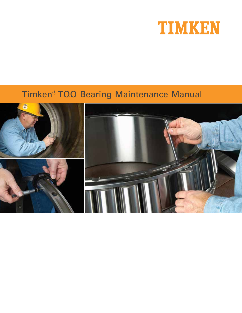

# Timken® TQO Bearing Maintenance Manual

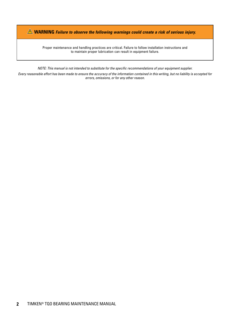**WARNING Failure to observe the following warnings could create a risk of serious injury.**

Proper maintenance and handling practices are critical. Failure to follow installation instructions and to maintain proper lubrication can result in equipment failure.

NOTE: This manual is not intended to substitute for the specific recommendations of your equipment supplier.

Every reasonable effort has been made to ensure the accuracy of the information contained in this writing, but no liability is accepted for errors, omissions, or for any other reason.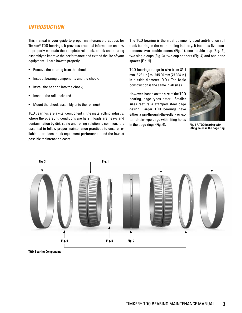### **INTRODUCTION**

This manual is your guide to proper maintenance practices for Timken® TQO bearings. It provides practical information on how to properly maintain the complete roll neck, chock and bearing assembly to improve the performance and extend the life of your equipment. Learn how to properly:

- **•** Remove the bearing from the chock;
- **•** Inspect bearing components and the chock;
- **•** Install the bearing into the chock;
- **•** Inspect the roll neck; and
- **•** Mount the chock assembly onto the roll neck.

TQO bearings are a vital component in the metal rolling industry, where the operating conditions are harsh, loads are heavy and contamination by dirt, scale and rolling solution is common. It is essential to follow proper maintenance practices to ensure reliable operations, peak equipment performance and the lowest possible maintenance costs.

The TQO bearing is the most commonly used anti-friction roll neck bearing in the metal rolling industry. It includes five components: two double cones (Fig. 1), one double cup (Fig. 2), two single cups (Fig. 3), two cup spacers (Fig. 4) and one cone spacer (Fig. 5).

TQO bearings range in size from 83.4 mm (3.281 in.) to 1915.00 mm (75.394 in.) in outside diameter (O.D.). The basic construction is the same in all sizes.

However, based on the size of the TQO bearing, cage types differ. Smaller sizes feature a stamped steel cage design. Larger TQO bearings have either a pin-through-the-roller- or external-pin-type cage with lifting holes in the cage rings (Fig. 6).



**Fig. 6 A TQO bearing with lifting holes in the cage ring**



**TQO Bearing Components**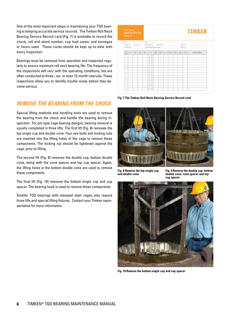One of the most important steps in maintaining your TQO bearing is keeping accurate service records. The Timken Roll Neck Bearing Service Record card (Fig. 7) is available to record the chock, roll and stand number; cup load zones; and tonnages or hours used. These cards should be kept up-to-date with every inspection.

Bearings must be removed from operation and inspected regularly to ensure maximum roll neck bearing life. The frequency of the inspections will vary with the operating conditions, but are often conducted at three-, six- or even 12-month intervals. These inspections allow you to identify trouble areas before they become serious.

### **REMOVE THE BEARING FROM THE CHOCK**

Special lifting methods and handling tools are used to remove the bearing from the chock and handle the bearing during inspection. For pin-type cage bearing designs, bearing removal is usually completed in three lifts. The first lift (Fig. 8) removes the top single cup and double cone. Four eye bolts and locking nuts are inserted into the lifting holes of the cage to remove these components. The locking nut should be tightened against the cage, prior to lifting.

The second lift (Fig. 9) removes the double cup, bottom double cone, along with the cone spacer and top cup spacer. Again, the lifting holes in the bottom double cone are used to remove these components.

The final lift (Fig. 10) removes the bottom single cup and cup spacer. The bearing hook is used to remove these components.

Smaller TQO bearings with stamped steel cages also require three lifts and special lifting fixtures. Contact your Timken representative for more information.

| <b>Roll Neck</b><br><b>Bearing Service</b><br>Record |         |               |             |              | <b>TIMKEN</b>                               |                     |               |          |                  |                  |                       |                |                                                 |
|------------------------------------------------------|---------|---------------|-------------|--------------|---------------------------------------------|---------------------|---------------|----------|------------------|------------------|-----------------------|----------------|-------------------------------------------------|
| Plant:                                               |         |               |             | Mill         |                                             |                     |               |          |                  |                  |                       |                |                                                 |
| Two-row:                                             |         | Fourcow:      |             |              | Back-up Roll:                               |                     | Work Roll:    |          |                  |                  |                       | Lubricant      |                                                 |
| Serial Number:                                       |         |               |             |              | Part Number/Assembly Number:                |                     |               |          |                  |                  |                       | BEP/RIC:       |                                                 |
| Times<br>In.<br>Service                              | Date in | Chock.<br>No. | Poll<br>No. | Stand<br>No. | Position                                    | Cup<br>Load<br>Zone | A Out<br>Down | Date Out | Service<br>Hours | Service<br>Torn. | Total<br><b>Hours</b> | Total<br>Torn. | Remarks On Nature Of<br>Repairs And Inspections |
| L.                                                   |         |               |             |              | TO DO<br>80 00                              |                     | $\Box$        |          |                  |                  |                       |                |                                                 |
| $\mathbf{z}$                                         |         |               |             |              | T.O.<br><b>DD</b><br>8.0<br>O <sub>II</sub> |                     | $\Box$        |          |                  |                  |                       |                |                                                 |
| ×                                                    |         |               |             |              | TO<br><b>DD</b><br>80 00                    |                     | $\Box$        |          |                  |                  |                       |                |                                                 |
| 4                                                    |         |               |             |              | T D<br><b>DD</b><br>80 00                   |                     | $\Box$        |          |                  |                  |                       |                |                                                 |
| 5                                                    |         |               |             |              | T.O.<br><b>DD</b><br>80 00                  |                     | $\Box$        |          |                  |                  |                       |                |                                                 |
| $\sigma$                                             |         |               |             |              | T.O.<br><b>DD</b><br>80 00                  |                     | $\Box$        |          |                  |                  |                       |                |                                                 |
| $\tau$                                               |         |               |             |              | TO DO<br>80 00                              |                     | $\alpha$      |          |                  |                  |                       |                |                                                 |
| $\mathbf{a}$                                         |         |               |             |              | T.O.<br><b>DD</b><br>80 00                  |                     | $\Box$        |          |                  |                  |                       |                |                                                 |
| $\mathbf{D}$                                         |         |               |             |              | TO DO<br>80 00                              |                     | $\Box$        |          |                  |                  |                       |                |                                                 |
| 10 <sub>2</sub>                                      |         |               |             |              | T.O.<br><b>DD</b><br>80 00                  |                     | $\Box$        |          |                  |                  |                       |                |                                                 |
| 11                                                   |         |               |             |              | T.O.<br><b>DD</b><br>8.0<br>O <sub>1</sub>  |                     | $\Box$        |          |                  |                  |                       |                |                                                 |
| 12                                                   |         |               |             |              | T.O.<br><b>DD</b><br>8.0<br>O <sub>1</sub>  |                     | $\Box$        |          |                  |                  |                       |                |                                                 |
| $^{12}$                                              |         |               |             |              | T.O.<br><b>DD</b><br>8.0<br>O <sub>II</sub> |                     | $\alpha$      |          |                  |                  |                       |                |                                                 |
| 34                                                   |         |               |             |              | TO DO<br>80 00                              |                     | $\Box$        |          |                  |                  |                       |                |                                                 |

**Fig. 7 The Timken Roll Neck Bearing Service Record card**



**Fig. 8 Remove the top single cup and double cone**

**Fig. 9 Remove the double cup, bottom double cone, cone spacer and top cup spacer**



**Fig. 10 Remove the bottom single cup and cup spacer**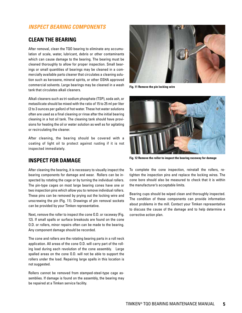### **INSPECT BEARING COMPONENTS**

### **CLEAN THE BEARING**

After removal, clean the TQO bearing to eliminate any accumulation of scale, water, lubricant, debris or other contaminants which can cause damage to the bearing. The bearing must be cleaned thoroughly to allow for proper inspection. Small bearings or small quantities of bearings may be cleaned in a commercially available parts cleaner that circulates a cleaning solution such as kerosene, mineral spirits, or other OSHA approved commercial solvents. Large bearings may be cleaned in a wash tank that circulates alkali cleaners.

Alkali cleaners such as tri-sodium phosphate (TSP), soda ash, or metasilicate should be mixed with the ratio of 15 to 25 ml per liter (2 to 3 ounces per gallon) of hot water. These hot water solutions often are used as a final cleaning or rinse after the initial bearing cleaning in a hot oil tank. The cleaning tank should have provisions for heating the oil or water solution as well as for agitating or recirculating the cleaner.

After cleaning, the bearing should be covered with a coating of light oil to protect against rusting if it is not inspected immediately.

### **INSPECT FOR DAMAGE**

After cleaning the bearing, it is necessary to visually inspect the bearing components for damage and wear. Rollers can be inspected by rotating the cage or by turning the individual rollers. The pin-type cages on most large bearing cones have one or two inspection pins which allow you to remove individual rollers. These pins can be removed by prying out the locking wire and unscrewing the pin (Fig. 11). Drawings of pin removal sockets can be provided by your Timken representative.

Next, remove the roller to inspect the cone O.D. or raceway (Fig. 12). If small spalls or surface breakouts are found on the cone O.D. or rollers, minor repairs often can be made to the bearing. Any component damage should be recorded.

The cone and rollers are the rotating bearing parts in a roll neck application. All areas of the cone O.D. will carry part of the rolling load during each revolution of the cone assembly. Large spalled areas on the cone O.D. will not be able to support the rollers under the load. Repairing large spalls in this location is not suggested.

Rollers cannot be removed from stamped-steel-type cage assemblies. If damage is found on the assembly, the bearing may be repaired at a Timken service facility.



**Fig. 11 Remove the pin locking wire**



**Fig. 12 Remove the roller to inspect the bearing raceway for damage**

To complete the cone inspection, reinstall the rollers, retighten the inspection pins and replace the locking wires. The cone bore should also be measured to check that it is within the manufacturer's acceptable limits.

Bearing cups should be wiped clean and thoroughly inspected. The condition of these components can provide information about problems in the mill. Contact your Timken representative to discuss the cause of the damage and to help determine a corrective action plan.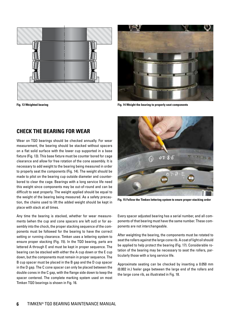



**Fig. 13 Weighted bearing Fig. 14 Weight the bearing to properly seat components**

### **CHECK THE BEARING FOR WEAR**

Wear on TQO bearings should be checked annually. For wear measurement, the bearing should be stacked without spacers on a flat solid surface with the lower cup supported in a base fixture (Fig. 13). This base fixture must be counter bored for cage clearance and allow for free rotation of the cone assembly. It is necessary to add weight to the bearing being measured in order to properly seat the components (Fig. 14). The weight should be made to pilot on the bearing cup outside diameter and counterbored to clear the cage. Bearings with a long service life need this weight since components may be out-of-round and can be difficult to seat properly. The weight applied should be equal to the weight of the bearing being measured. As a safety precaution, the chains used to lift the added weight should be kept in place with slack at all times.

Any time the bearing is stacked, whether for wear measurements (when the cup and cone spacers are left out) or for assembly into the chock, the proper stacking sequence of the components must be followed for the bearing to have the correct setting or running clearance. Timken uses a lettering system to ensure proper stacking (Fig. 15). In the TQO bearing, parts are lettered A through E and must be kept in proper sequence. The bearing can be stacked with either the A cup down or the E cup down, but the components must remain in proper sequence. The B cup spacer must be placed in the B gap and the D cup spacer in the D gap. The C cone spacer can only be placed between the double cones in the C gap, with the flange side down to keep the spacer centered. The complete marking system used on most Timken TQO bearings is shown in Fig. 16.



**Fig. 15 Follow the Timken lettering system to enure proper stacking order**

Every spacer adjusted bearing has a serial number, and all components of that bearing must have the same number. These components are not interchangeable.

After weighting the bearing, the components must be rotated to seat the rollers against the large cone rib. A coat of light oil should be applied to help protect the bearing (Fig. 17). Considerable rotation of the bearing may be necessary to seat the rollers, particularly those with a long service life.

Approximate seating can be checked by inserting a 0.050 mm (0.002 in.) feeler gage between the large end of the rollers and the large cone rib, as illustrated in Fig. 18.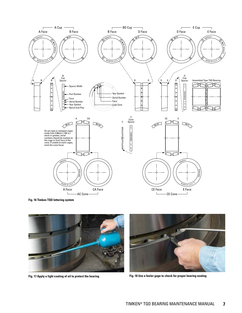

**Fig. 16 Timken TQO lettering system**





**Fig. 17 Apply a light coating of oil to protect the bearing Fig. 18 Use a feeler gage to check for proper bearing seating**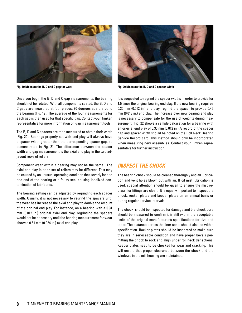

Once you begin the B, D and C gap measurements, the bearing should not be rotated. With all components seated, the B, D and C gaps are measured at four places, 90 degrees apart, around the bearing (Fig. 19). The average of the four measurements for each gap is then used for that specific gap. Contact your Timken representative for more information on gap measurement tools.

The B, D and C spacers are then measured to obtain their width (Fig. 20). Bearings properly set with end play will always have a spacer width greater than the corresponding spacer gap, as demonstrated in Fig. 21. The difference between the spacer width and gap measurement is the axial end play in the two adjacent rows of rollers.

Component wear within a bearing may not be the same. The axial end play in each set of rollers may be different. This may be caused by an unusual operating condition that severly loaded one end of the bearing or a faulty seal causing localized contamination of lubricants.

The bearing setting can be adjusted by regrinding each spacer width. Usually, it is not necessary to regrind the spacers until the wear has increased the axial end play to double the amount of the original end play. For instance, on a bearing with a 0.31 mm (0.012 in.) original axial end play, regrinding the spacers would not be necessary until the bearing measurement for wear showed 0.61 mm (0.024 in.) axial end play.



**Fig. 19 Measure the B, D and C gap for wear Fig. 20 Measure the B, D and C spacer width**

It is suggested to regrind the spacer widths in order to provide for 1.5 times the original bearing end play. If the new bearing requires 0.30 mm (0.012 in.) end play, regrind the spacer to provide 0.46 mm (0.018 in.) end play. The increase over new bearing end play is necessary to compensate for the use of weights during measurement. Fig. 22 shows a sample calculation for a bearing with an original end play of 0.30 mm (0.012 in.) A record of the spacer gap and spacer width should be noted on the Roll Neck Bearing Service Record card. This method should only be incorporated when measuring new assemblies. Contact your Timken representative for further instruction.

### **INSPECT THE CHOCK**

The bearing chock should be cleaned thoroughly and all lubrication and vent holes blown out with air. If oil mist lubrication is used, special attention should be given to ensure the mist reclassifier fittings are clean. It is equally important to inspect the chock, rocker plates and keeper plates on an annual basis or during regular service intervals.

The chock should be inspected for damage and the chock bore should be measured to confirm it is still within the acceptable limits of the original manufacturer's specifications for size and taper. The distance across the liner seats should also be within specification. Rocker plates should be inspected to make sure they are in serviceable condition and have proper bevels permitting the chock to rock and align under roll neck deflections. Keeper plates need to be checked for wear and cracking. This will ensure that proper clearance between the chock and the windows in the mill housing are maintained.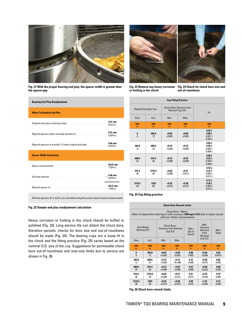

**Fig. 21 With the proper bearing end play, the spacer width is greater than the spacer gap**



**Cup Fitting Practice**

**mm** in.

**+0.08** +0.003

**+0.15** +0.006

**Fig. 23 Remove any heavy corrosion or fretting in the chock**

**mm** in.

**0** 0

**304.8** 12

**Fig. 24 Check for chock bore size and out-of-roundness**

Fit.

**mm** in.

**0.02 L 0.08 L** 0.001 L 0.003 L

**0.05 L 0.45 L** 0.002 L 0.006 L

**0.08 L 0.23 L** 0.003 L 0.009 L

**0.10 L 0.31 L** 0.004 L 0.012 L

**0.13 L 0.38 L** 0.005 L 0.014 L

| <b>Bearing End Play Readjustment</b>                                                                                                                                                                                                 |                          |
|--------------------------------------------------------------------------------------------------------------------------------------------------------------------------------------------------------------------------------------|--------------------------|
| <b>When To Readjust End Play</b>                                                                                                                                                                                                     |                          |
|                                                                                                                                                                                                                                      | $0.31$ mm<br>0.012 in    |
|                                                                                                                                                                                                                                      | $0.61$ mm<br>$0.024$ in. |
| Regrind spacers to provide 1.5 times original end play manufactured.                                                                                                                                                                 | $0.46$ mm<br>$0.018$ in. |
| <b>Spacer Width Calculation</b>                                                                                                                                                                                                      |                          |
| Space measurement manufactured and space measurement                                                                                                                                                                                 | 26.01 mm<br>$1.024$ in.  |
| End play desired Manuscritt, and the state of play desired Manuscritt, and the state of the state of the state of the state of the state of the state of the state of the state of the state of the state of the state of the        | $0.46$ mm<br>$0.018$ in. |
| Regrind spacer to <b>contract to the contract of the contract of the contract of the contract of the contract of the contract of the contract of the contract of the contract of the contract of the contract of the contract of</b> | 26.47 mm<br>1 042 in     |
|                                                                                                                                                                                                                                      |                          |

| 609.6<br>24  | 914.4<br>36  | $+0.15$<br>$+0.006$ | $+0.23$<br>$+0.009$ |  |
|--------------|--------------|---------------------|---------------------|--|
| 914.4<br>36  | 1219.2<br>48 | $+0.20$<br>$+0.008$ | $+0.31$<br>$+0.012$ |  |
| 1219.2<br>48 | 1524<br>60   | $+0.25$<br>$+0.010$ | $+0.38$<br>$+0.015$ |  |

Outside Diameter Cup Chock Bore Variance from Nominal Cup O.D.

**mm** in.

**+0.05**  $+0.002$ 

**+0.10** +0.004

Over | Incl. | Min. | Max.

**mm** in.

**304.8** 12

**609.6** 24

#### **Fig. 25 Cup fitting practice**

All three spacers, B, C and D, are calculated using the actual values of space measurement.

#### **Fig. 22 Sample end play readjustment calculation**

Heavy corrosion or fretting in the chock should be buffed or polished (Fig. 23). Long-service life can distort the chock bore, therefore periodic checks for bore size and out-of-roundness should be made (Fig. 24). The bearing cups are a loose fit in the chock and the fitting practice (Fig. 25) varies based on the nominal O.D. size of the cup. Suggestions for permissible chock bore out-of-roundness and over-size limits due to service are shown in Fig. 26.

| <b>Chock Bore Rework Limits</b>                                                                                                                       |        |                                                          |           |                        |                                                 |              |  |  |
|-------------------------------------------------------------------------------------------------------------------------------------------------------|--------|----------------------------------------------------------|-----------|------------------------|-------------------------------------------------|--------------|--|--|
| Chock Bore - Metric<br>(Note: for tapered bore bearings in mills running at 1200 mpm (4000 fpm) or higher consult<br>with your Timken representative) |        |                                                          |           |                        |                                                 |              |  |  |
| Size Range<br>Bearing O.D.                                                                                                                            |        | Chock Bore -<br><b>Variance from Nominal</b><br>Cup O.D. |           | Max<br>Out of<br>Round | Max.<br>Oversize<br>Variance<br>from<br>Nominal | Max<br>Taper |  |  |
| Over                                                                                                                                                  | Incl.  | Min.                                                     | Max       |                        | Cup O.D.                                        |              |  |  |
| mm                                                                                                                                                    | mm     | mm                                                       | mm        | mm                     | mm                                              | mm           |  |  |
| in.                                                                                                                                                   | in.    | in.                                                      | in.       | in.                    | in.                                             | in.          |  |  |
| 0                                                                                                                                                     | 304.8  | $+0.05$                                                  | $+0.08$   | 0.08                   | $+0.20$                                         | 0.04         |  |  |
| $\mathbf{0}$                                                                                                                                          | 12     | $+0.002$                                                 | $+0.003$  | 0.003                  | $+0.008$                                        | 0.0015       |  |  |
| 304.8                                                                                                                                                 | 609.6  | $+0.10$                                                  | $+0.15$   | 0.15                   | $+0.38$                                         | 0.05         |  |  |
| 12                                                                                                                                                    | 24     | $+0.004$                                                 | $+0v.006$ | 0.006                  | $+0.015$                                        | 0.002        |  |  |
| 609.6                                                                                                                                                 | 914.4  | $+0.15$                                                  | $+0.23$   | 0.23                   | $+0.58$                                         | 0.08         |  |  |
| 24                                                                                                                                                    | 36     | $+0.006$                                                 | $+0.009$  | 0.009                  | $+0.023$                                        | 0.003        |  |  |
| 914.4                                                                                                                                                 | 1219.2 | $+0.20$                                                  | $+0.31$   | 0.31                   | $+0.76$                                         | 0.10         |  |  |
| 36                                                                                                                                                    | 48     | $+0.008$                                                 | $+0.012$  | 0.012                  | $+0.030$                                        | 0.004        |  |  |
| 1219.2                                                                                                                                                | 1524   | $+0.25$                                                  | $+0.38$   | 0.38                   | $+1.01$                                         | 0.13         |  |  |
| 48                                                                                                                                                    | 60     | $+0.010$                                                 | $+0.015$  | 0.015                  | $+0.040$                                        | 0.005        |  |  |

**Fig. 26 Chock bore rework limits**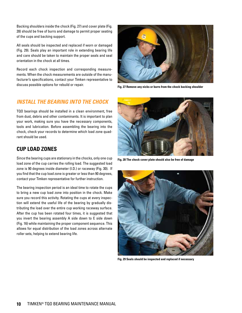Backing shoulders inside the chock (Fig. 27) and cover plate (Fig. 28) should be free of burrs and damage to permit proper seating of the cups and backing support.

All seals should be inspected and replaced if worn or damaged (Fig. 29). Seals play an important role in extending bearing life and care should be taken to maintain the proper seals and seal orientation in the chock at all times.

Record each chock inspection and corresponding measurements. When the chock measurements are outside of the manufacturer's specifications, contact your Timken representative to discuss possible options for rebuild or repair.



**Fig. 27 Remove any nicks or burrs from the chock backing shoulder**

### **INSTALL THE BEARING INTO THE CHOCK**

TQO bearings should be installed in a clean environment, free from dust, debris and other contaminants. It is important to plan your work, making sure you have the necessary components, tools and lubrication. Before assembling the bearing into the chock, check your records to determine which load zone quadrant should be used.

## **CUP LOAD ZONES**

Since the bearing cups are stationary in the chocks, only one cup load zone of the cup carries the rolling load. The suggested load zone is 90 degrees inside diameter (I.D.) or raceway (Fig. 30). If you find that the cup load zone is greater or less than 90 degrees, contact your Timken representative for further instruction.

The bearing inspection period is an ideal time to rotate the cups to bring a new cup load zone into position in the chock. Make sure you record this activity. Rotating the cups at every inspection will extend the useful life of the bearing by gradually distributing the load over the entire cup working raceway surface. After the cup has been rotated four times, it is suggested that you invert the bearing assembly A side down to E side down (Fig. 16) while maintaining the proper component sequence. This allows for equal distribution of the load zones across alternate roller sets, helping to extend bearing life.



**Fig. 28 The chock cover plate should also be free of damage**



**Fig. 29 Seals should be inspected and replaced if necessary**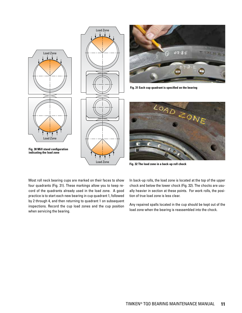





**Fig. 31 Each cup quadrant is specified on the bearing**



**Fig. 32 The load zone in a back-up roll chock**

Most roll neck bearing cups are marked on their faces to show four quadrants (Fig. 31). These markings allow you to keep record of the quadrants already used in the load zone. A good practice is to start each new bearing in cup quadrant 1, followed by 2 through 4, and then returning to quadrant 1 on subsequent inspections. Record the cup load zones and the cup position when servicing the bearing.

In back-up rolls, the load zone is located at the top of the upper chock and below the lower chock (Fig. 32). The chocks are usually heavier in section at these points. For work rolls, the position of true load zone is less clear.

Any repaired spalls located in the cup should be kept out of the load zone when the bearing is reassembled into the chock.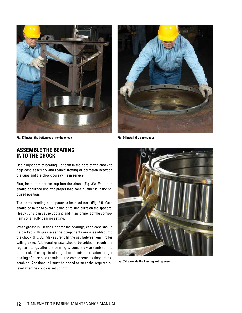

**Fig. 33 Install the bottom cup into the chock Fig. 34 Install the cup spacer**



### **ASSEMBLE THE BEARING INTO THE CHOCK**

Use a light coat of bearing lubricant in the bore of the chock to help ease assembly and reduce fretting or corrosion between the cups and the chock bore while in service.

First, install the bottom cup into the chock (Fig. 33). Each cup should be turned until the proper load zone number is in the required position.

The corresponding cup spacer is installed next (Fig. 34). Care should be taken to avoid nicking or raising burrs on the spacers. Heavy burrs can cause cocking and misalignment of the components or a faulty bearing setting.

When grease is used to lubricate the bearings, each cone should be packed with grease as the components are assembled into the chock. (Fig. 35) Make sure to fill the gap between each roller with grease. Additional grease should be added through the regular fittings after the bearing is completely assembled into the chock. If using circulating oil or oil mist lubrication, a light coating of oil should remain on the components as they are assembled. Additional oil must be added to meet the required oil level after the chock is set upright.



**Fig. 35 Lubricate the bearing with grease**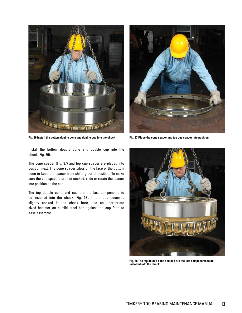

**Fig. 36 Install the bottom double cone and double cup into the chock Fig. 37 Place the cone spacer and top cup spacer into position**



Install the bottom double cone and double cup into the chock (Fig. 36).

The cone spacer (Fig. 37) and top cup spacer are placed into position next. The cone spacer pilots on the face of the bottom cone to keep the spacer from shifting out of position. To make sure the cup spacers are not cocked, slide or rotate the spacer into position on the cup.

The top double cone and cup are the last components to be installed into the chock (Fig. 38). If the cup becomes slightly cocked in the chock bore, use an appropriate sized hammer on a mild steel bar against the cup face to ease assembly.



**Fig. 38 The top double cone and cup are the last components to be installed into the chock**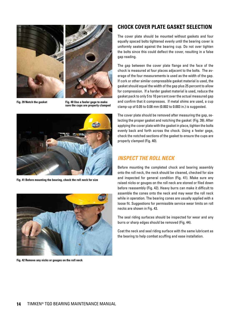



Fig. 39 Notch the gasket **Fig. 40 Use a feeler gage to make sure the cups are properly clamped**



**Fig. 41 Before mounting the bearing, check the roll neck for size**



**Fig. 42 Remove any nicks or gouges on the roll neck**

### **CHOCK COVER PLATE GASKET SELECTION**

The cover plate should be mounted without gaskets and four equally spaced bolts tightened evenly until the bearing cover is uniformly seated against the bearing cup. Do not over tighten the bolts since this could deflect the cover, resulting in a false gap reading.

The gap between the cover plate flange and the face of the chock is measured at four places adjacent to the bolts. The average of the four measurements is used as the width of the gap. If cork or other similar compressible gasket material is used, the gasket should equal the width of the gap plus 25 percent to allow for compression. If a harder gasket material is used, reduce the gasket pack to only 5 to 10 percent over the actual measured gap and confirm that it compresses. If metal shims are used, a cup clamp-up of 0.05 to 0.08 mm (0.002 to 0.003 in.) is suggested.

The cover plate should be removed after measuring the gap, selecting the proper gasket and notching the gasket (Fig. 39). After applying the cover plate with the gasket in place, tighten the bolts evenly back and forth across the chock. Using a feeler gage, check the notched sections of the gasket to ensure the cups are properly clamped (Fig. 40).

### **INSPECT THE ROLL NECK**

Before mounting the completed chock and bearing assembly onto the roll neck, the neck should be cleaned, checked for size and inspected for general condition (Fig. 41). Make sure any raised nicks or gouges on the roll neck are stoned or filed down before reassembly (Fig. 42). Heavy burrs can make it difficult to assemble the cones onto the neck and may wear the roll neck while in operation. The bearing cones are usually applied with a loose fit. Suggestions for permissible service wear limits on roll necks are shown in Fig. 43.

The seal riding surfaces should be inspected for wear and any burrs or sharp edges should be removed (Fig. 44).

Coat the neck and seal riding surface with the same lubricant as the bearing to help combat scuffing and ease installation.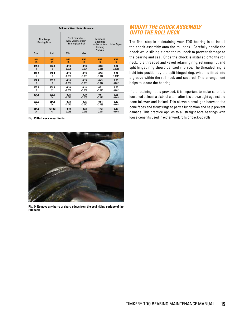| <b>Roll Neck Wear Limits - Diameter</b> |                                   |          |                                                                |                                                                    |            |  |  |  |
|-----------------------------------------|-----------------------------------|----------|----------------------------------------------------------------|--------------------------------------------------------------------|------------|--|--|--|
|                                         | Size Range<br><b>Bearing Bore</b> |          | Neck Diameter -<br>New Variance from<br><b>Bearing Nominal</b> | Minimum<br>Undersize<br>Variance from<br><b>Bearing</b><br>Nominal | Max. Taper |  |  |  |
| Over                                    | Incl.                             |          | Min.<br>Max.                                                   |                                                                    |            |  |  |  |
| mm                                      | mm                                |          | mm                                                             | mm                                                                 | mm         |  |  |  |
| in.                                     | in.                               |          | in.                                                            | in.                                                                | in.        |  |  |  |
| 101.6                                   | 127.0                             | $-0.13$  | $-0.10$                                                        | $-0.28$                                                            | 0.04       |  |  |  |
| 4                                       | 5                                 | $-0.005$ | $-0.004$                                                       | $-0.011$                                                           | 0.0015     |  |  |  |
| 127.0                                   | 152.4                             | $-0.15$  | $-0.13$                                                        | $-0.36$                                                            | 0.04       |  |  |  |
| 5                                       | 6                                 | $-0.006$ | $-0.005$                                                       | $-0.014$                                                           | 0.0015     |  |  |  |
| 152.4                                   | 203.2                             | $-0.18$  | $-0.15$                                                        | $-0.43$                                                            | 0.05       |  |  |  |
| 6                                       | 8                                 | $-0.007$ | $-0.006$                                                       | $-0.017$                                                           | 0.002      |  |  |  |
| 203.2                                   | 304.8                             | $-0.20$  | $-0.18$                                                        | $-0.51$                                                            | 0.05       |  |  |  |
| 8                                       | 12                                | $-0.008$ | $-0.007$                                                       | $-0.020$                                                           | 0.002      |  |  |  |
| 304.8                                   | 609.6                             | $-0.25$  | $-0.20$                                                        | $-0.61$                                                            | 0.08       |  |  |  |
| 12                                      | 24                                | $-0.010$ | $-0.008$                                                       | $-0.024$                                                           | 0.003      |  |  |  |
| 609.6                                   | 914.4                             | $-0.33$  | $-0.25$                                                        | $-0.84$                                                            | 0.10       |  |  |  |
| 24                                      | 36                                | $-0.013$ | $-0.010$                                                       | $-0.033$                                                           | 0.004      |  |  |  |
| 914.4                                   | 1219.2                            | $-0.40$  | $-0.33$                                                        | $-1.12$                                                            | 0.13       |  |  |  |
| 36                                      | 48                                | $-0.016$ | $-0.013$                                                       | $-0.044$                                                           | 0.005      |  |  |  |

**Fig. 43 Roll neck wear limits**

### **MOUNT THE CHOCK ASSEMBLY ONTO THE ROLL NECK**

The final step in maintaining your TQO bearing is to install the chock assembly onto the roll neck. Carefully handle the chock while sliding it onto the roll neck to prevent damage to the bearing and seal. Once the chock is installed onto the roll neck, the threaded and keyed retaining ring, retaining nut and split hinged ring should be fixed in place. The threaded ring is held into position by the split hinged ring, which is fitted into a groove within the roll neck and secured. This arrangement helps to locate the bearing.

If the retaining nut is provided, it is important to make sure it is loosened at least a sixth of a turn after it is drawn tight against the cone follower and locked. This allows a small gap between the cone faces and thrust rings to permit lubrication and help prevent damage. This practice applies to all straight bore bearings with loose cone fits used in either work rolls or back-up rolls.



**Fig. 44 Remove any burrs or sharp edges from the seal riding surface of the roll neck**